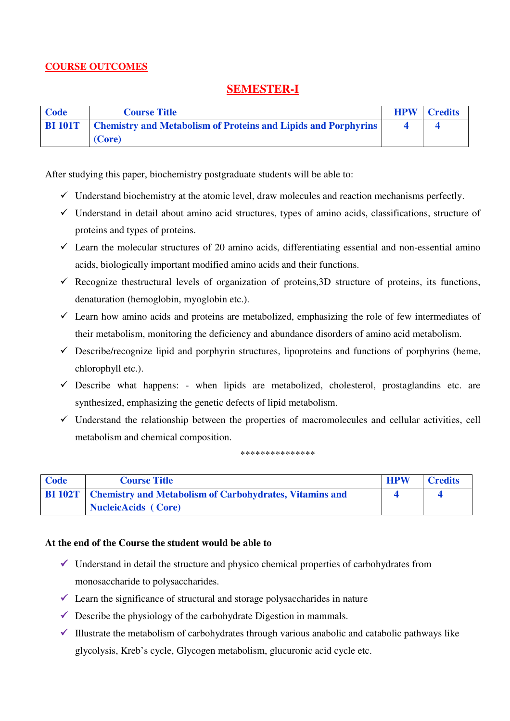### **COURSE OUTCOMES**

## **SEMESTER-I**

| Code           | <b>Course Title</b>                                                   | <b>HPW</b> | <b>Credits</b> |
|----------------|-----------------------------------------------------------------------|------------|----------------|
| <b>BI 101T</b> | <b>Chemistry and Metabolism of Proteins and Lipids and Porphyrins</b> |            |                |
|                | (Core)                                                                |            |                |

After studying this paper, biochemistry postgraduate students will be able to:

- $\checkmark$  Understand biochemistry at the atomic level, draw molecules and reaction mechanisms perfectly.
- $\checkmark$  Understand in detail about amino acid structures, types of amino acids, classifications, structure of proteins and types of proteins.
- $\checkmark$  Learn the molecular structures of 20 amino acids, differentiating essential and non-essential amino acids, biologically important modified amino acids and their functions.
- $\checkmark$  Recognize thestructural levels of organization of proteins, 3D structure of proteins, its functions, denaturation (hemoglobin, myoglobin etc.).
- $\checkmark$  Learn how amino acids and proteins are metabolized, emphasizing the role of few intermediates of their metabolism, monitoring the deficiency and abundance disorders of amino acid metabolism.
- $\checkmark$  Describe/recognize lipid and porphyrin structures, lipoproteins and functions of porphyrins (heme, chlorophyll etc.).
- $\checkmark$  Describe what happens: when lipids are metabolized, cholesterol, prostaglandins etc. are synthesized, emphasizing the genetic defects of lipid metabolism.
- $\checkmark$  Understand the relationship between the properties of macromolecules and cellular activities, cell metabolism and chemical composition.

\*\*\*\*\*\*\*\*\*\*\*\*\*\*\*

| Code | <b>Course Title</b>                                                    | <b>HPW</b> | <b>Credits</b> |
|------|------------------------------------------------------------------------|------------|----------------|
|      | <b>BI 102T</b> Chemistry and Metabolism of Carbohydrates, Vitamins and |            |                |
|      | NucleicAcids (Core)                                                    |            |                |

### **At the end of the Course the student would be able to**

- $\checkmark$  Understand in detail the structure and physico chemical properties of carbohydrates from monosaccharide to polysaccharides.
- $\checkmark$  Learn the significance of structural and storage polysaccharides in nature
- $\checkmark$  Describe the physiology of the carbohydrate Digestion in mammals.
- $\checkmark$  Illustrate the metabolism of carbohydrates through various anabolic and catabolic pathways like glycolysis, Kreb's cycle, Glycogen metabolism, glucuronic acid cycle etc.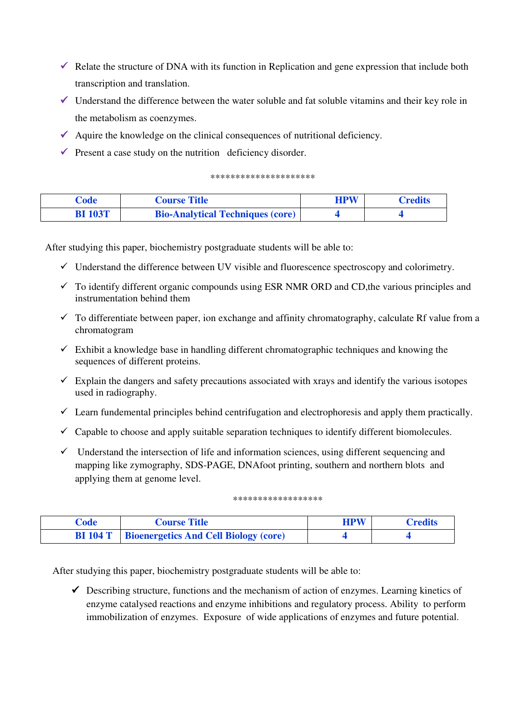- $\checkmark$  Relate the structure of DNA with its function in Replication and gene expression that include both transcription and translation.
- $\checkmark$  Understand the difference between the water soluble and fat soluble vitamins and their key role in the metabolism as coenzymes.
- $\blacklozenge$  Aquire the knowledge on the clinical consequences of nutritional deficiency.
- $\checkmark$  Present a case study on the nutrition deficiency disorder.

#### \*\*\*\*\*\*\*\*\*\*\*\*\*\*\*\*\*\*\*\*\*

| Code           | <b>Course Title</b>                     | <b>HPW</b> | <b>Credits</b> |
|----------------|-----------------------------------------|------------|----------------|
| <b>BI 103T</b> | <b>Bio-Analytical Techniques (core)</b> |            |                |

After studying this paper, biochemistry postgraduate students will be able to:

- $\checkmark$  Understand the difference between UV visible and fluorescence spectroscopy and colorimetry.
- $\checkmark$  To identify different organic compounds using ESR NMR ORD and CD, the various principles and instrumentation behind them
- $\checkmark$  To differentiate between paper, ion exchange and affinity chromatography, calculate Rf value from a chromatogram
- $\checkmark$  Exhibit a knowledge base in handling different chromatographic techniques and knowing the sequences of different proteins.
- $\checkmark$  Explain the dangers and safety precautions associated with xrays and identify the various isotopes used in radiography.
- $\checkmark$  Learn fundemental principles behind centrifugation and electrophoresis and apply them practically.
- $\checkmark$  Capable to choose and apply suitable separation techniques to identify different biomolecules.
- $\checkmark$  Understand the intersection of life and information sciences, using different sequencing and mapping like zymography, SDS-PAGE, DNAfoot printing, southern and northern blots and applying them at genome level.

#### \*\*\*\*\*\*\*\*\*\*\*\*\*\*\*\*\*\*

| Code     | <b>Course Title</b>                          | <b>HPW</b> | <b>Credits</b> |
|----------|----------------------------------------------|------------|----------------|
| BI 104 T | <b>Bioenergetics And Cell Biology (core)</b> |            |                |

After studying this paper, biochemistry postgraduate students will be able to:

 Describing structure, functions and the mechanism of action of enzymes. Learning kinetics of enzyme catalysed reactions and enzyme inhibitions and regulatory process. Ability to perform immobilization of enzymes. Exposure of wide applications of enzymes and future potential.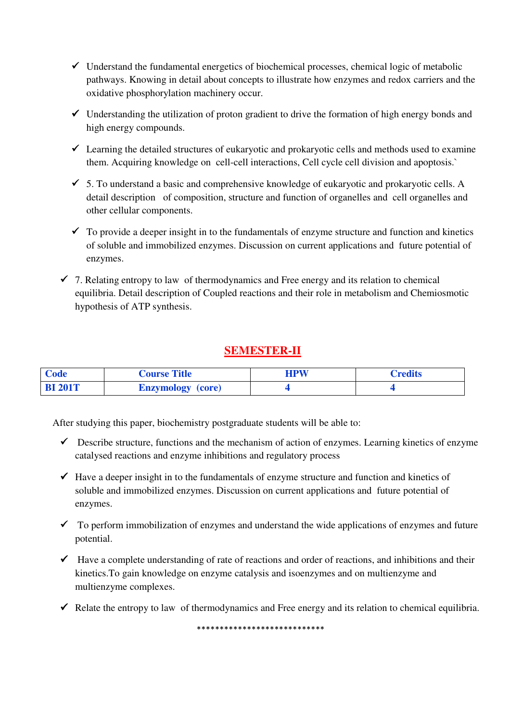- $\checkmark$  Understand the fundamental energetics of biochemical processes, chemical logic of metabolic pathways. Knowing in detail about concepts to illustrate how enzymes and redox carriers and the oxidative phosphorylation machinery occur.
- $\checkmark$  Understanding the utilization of proton gradient to drive the formation of high energy bonds and high energy compounds.
- $\checkmark$  Learning the detailed structures of eukaryotic and prokaryotic cells and methods used to examine them. Acquiring knowledge on cell-cell interactions, Cell cycle cell division and apoptosis.`
- $\checkmark$  5. To understand a basic and comprehensive knowledge of eukaryotic and prokaryotic cells. A detail description of composition, structure and function of organelles and cell organelles and other cellular components.
- $\checkmark$  To provide a deeper insight in to the fundamentals of enzyme structure and function and kinetics of soluble and immobilized enzymes. Discussion on current applications and future potential of enzymes.
- $\checkmark$  7. Relating entropy to law of thermodynamics and Free energy and its relation to chemical equilibria. Detail description of Coupled reactions and their role in metabolism and Chemiosmotic hypothesis of ATP synthesis.

# **SEMESTER-II**

| Code           | <b>Course Title</b>      | <b>HPW</b> | Credits |
|----------------|--------------------------|------------|---------|
| <b>BI 201T</b> | <b>Enzymology</b> (core) |            |         |

After studying this paper, biochemistry postgraduate students will be able to:

- $\checkmark$  Describe structure, functions and the mechanism of action of enzymes. Learning kinetics of enzyme catalysed reactions and enzyme inhibitions and regulatory process
- $\checkmark$  Have a deeper insight in to the fundamentals of enzyme structure and function and kinetics of soluble and immobilized enzymes. Discussion on current applications and future potential of enzymes.
- $\checkmark$  To perform immobilization of enzymes and understand the wide applications of enzymes and future potential.
- $\checkmark$  Have a complete understanding of rate of reactions and order of reactions, and inhibitions and their kinetics.To gain knowledge on enzyme catalysis and isoenzymes and on multienzyme and multienzyme complexes.
- Relate the entropy to law of thermodynamics and Free energy and its relation to chemical equilibria.

\*\*\*\*\*\*\*\*\*\*\*\*\*\*\*\*\*\*\*\*\*\*\*\*\*\*\*\*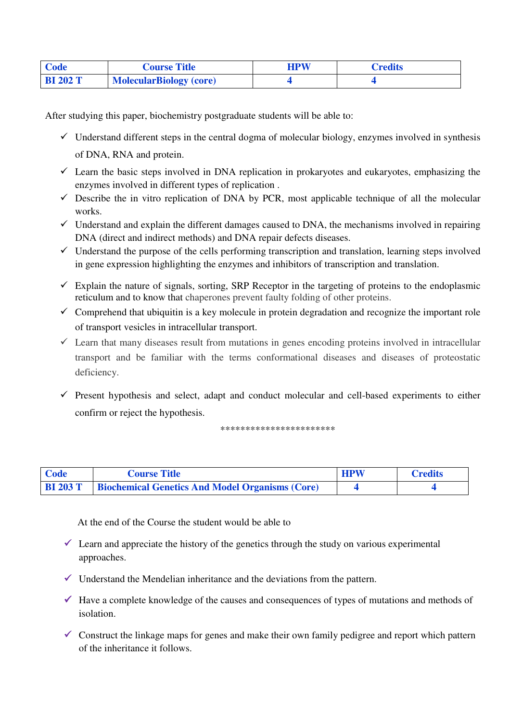| <b>Code</b>     | <b>Course Title</b>            | HPW | <b>Tredits</b> |
|-----------------|--------------------------------|-----|----------------|
| <b>BI 202 T</b> | <b>MolecularBiology (core)</b> |     |                |

After studying this paper, biochemistry postgraduate students will be able to:

- $\checkmark$  Understand different steps in the central dogma of molecular biology, enzymes involved in synthesis of DNA, RNA and protein.
- $\checkmark$  Learn the basic steps involved in DNA replication in prokaryotes and eukaryotes, emphasizing the enzymes involved in different types of replication .
- $\checkmark$  Describe the in vitro replication of DNA by PCR, most applicable technique of all the molecular works.
- $\checkmark$  Understand and explain the different damages caused to DNA, the mechanisms involved in repairing DNA (direct and indirect methods) and DNA repair defects diseases.
- $\checkmark$  Understand the purpose of the cells performing transcription and translation, learning steps involved in gene expression highlighting the enzymes and inhibitors of transcription and translation.
- $\checkmark$  Explain the nature of signals, sorting, SRP Receptor in the targeting of proteins to the endoplasmic reticulum and to know that chaperones prevent faulty folding of other proteins.
- $\checkmark$  Comprehend that ubiquitin is a key molecule in protein degradation and recognize the important role of transport vesicles in intracellular transport.
- $\checkmark$  Learn that many diseases result from mutations in genes encoding proteins involved in intracellular transport and be familiar with the terms conformational diseases and diseases of proteostatic deficiency.
- $\checkmark$  Present hypothesis and select, adapt and conduct molecular and cell-based experiments to either confirm or reject the hypothesis.

\*\*\*\*\*\*\*\*\*\*\*\*\*\*\*\*\*\*\*\*\*\*\*

| Code | <b>Course Title</b>                                             | <b>HPW</b> | <b>Credits</b> |
|------|-----------------------------------------------------------------|------------|----------------|
|      | <b>BI 203 T</b> Biochemical Genetics And Model Organisms (Core) |            |                |

At the end of the Course the student would be able to

- $\checkmark$  Learn and appreciate the history of the genetics through the study on various experimental approaches.
- $\checkmark$  Understand the Mendelian inheritance and the deviations from the pattern.
- $\checkmark$  Have a complete knowledge of the causes and consequences of types of mutations and methods of isolation.
- Construct the linkage maps for genes and make their own family pedigree and report which pattern of the inheritance it follows.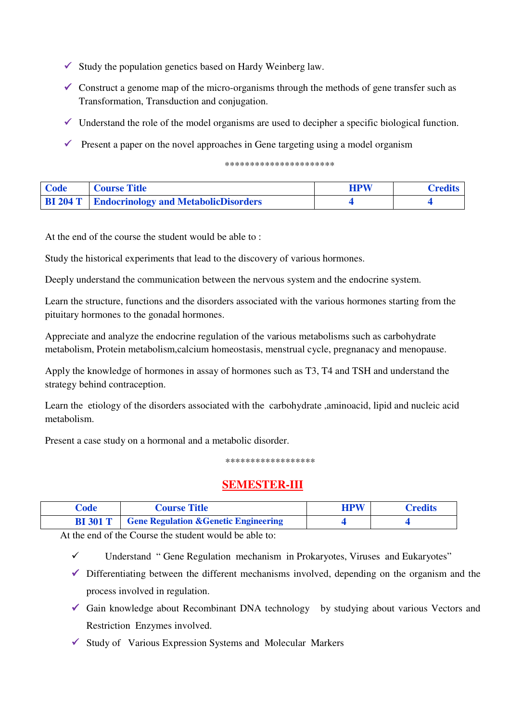- $\checkmark$  Study the population genetics based on Hardy Weinberg law.
- $\checkmark$  Construct a genome map of the micro-organisms through the methods of gene transfer such as Transformation, Transduction and conjugation.
- $\checkmark$  Understand the role of the model organisms are used to decipher a specific biological function.
- $\checkmark$  Present a paper on the novel approaches in Gene targeting using a model organism

\*\*\*\*\*\*\*\*\*\*\*\*\*\*\*\*\*\*\*\*\*\*

| Code | Course Title                                         | <b>HPW</b> | <b>Credits</b> |
|------|------------------------------------------------------|------------|----------------|
|      | <b>BI 204 T</b> Endocrinology and MetabolicDisorders |            |                |

At the end of the course the student would be able to :

Study the historical experiments that lead to the discovery of various hormones.

Deeply understand the communication between the nervous system and the endocrine system.

Learn the structure, functions and the disorders associated with the various hormones starting from the pituitary hormones to the gonadal hormones.

Appreciate and analyze the endocrine regulation of the various metabolisms such as carbohydrate metabolism, Protein metabolism,calcium homeostasis, menstrual cycle, pregnanacy and menopause.

Apply the knowledge of hormones in assay of hormones such as T3, T4 and TSH and understand the strategy behind contraception.

Learn the etiology of the disorders associated with the carbohydrate ,aminoacid, lipid and nucleic acid metabolism.

Present a case study on a hormonal and a metabolic disorder.

\*\*\*\*\*\*\*\*\*\*\*\*\*\*\*\*\*\*

## **SEMESTER-III**

| Code            | <b>Course Title</b>                              | <b>HPW</b> | <b>Credits</b> |
|-----------------|--------------------------------------------------|------------|----------------|
| <b>BI</b> 301 T | <b>Gene Regulation &amp; Genetic Engineering</b> |            |                |

At the end of the Course the student would be able to:

- $\checkmark$  Understand " Gene Regulation mechanism in Prokaryotes, Viruses and Eukaryotes"
- $\checkmark$  Differentiating between the different mechanisms involved, depending on the organism and the process involved in regulation.
- Gain knowledge about Recombinant DNA technology by studying about various Vectors and Restriction Enzymes involved.
- $\checkmark$  Study of Various Expression Systems and Molecular Markers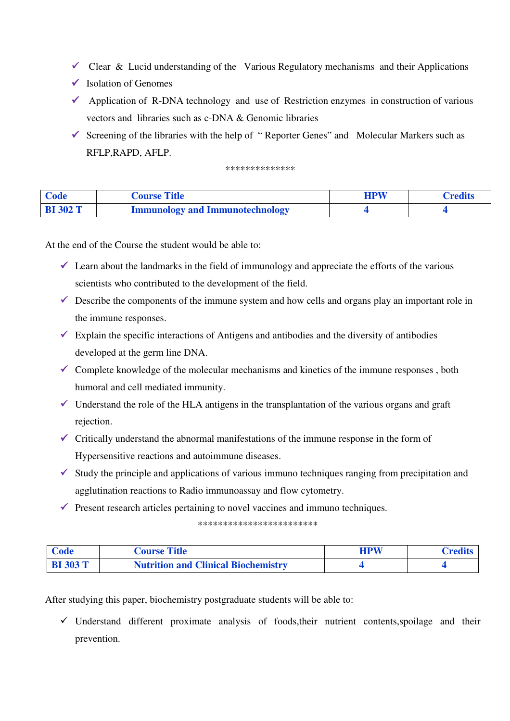- Clear & Lucid understanding of the Various Regulatory mechanisms and their Applications
- $\checkmark$  Isolation of Genomes
- $\checkmark$  Application of R-DNA technology and use of Restriction enzymes in construction of various vectors and libraries such as c-DNA & Genomic libraries
- $\checkmark$  Screening of the libraries with the help of "Reporter Genes" and Molecular Markers such as RFLP,RAPD, AFLP.

\*\*\*\*\*\*\*\*\*\*\*\*\*\*

| Code            | <b>Course Title</b>                    | <b>HPW</b> | <b>Credits</b> |
|-----------------|----------------------------------------|------------|----------------|
| <b>BI 302 T</b> | <b>Immunology and Immunotechnology</b> |            |                |

At the end of the Course the student would be able to:

- $\checkmark$  Learn about the landmarks in the field of immunology and appreciate the efforts of the various scientists who contributed to the development of the field.
- $\checkmark$  Describe the components of the immune system and how cells and organs play an important role in the immune responses.
- $\checkmark$  Explain the specific interactions of Antigens and antibodies and the diversity of antibodies developed at the germ line DNA.
- $\checkmark$  Complete knowledge of the molecular mechanisms and kinetics of the immune responses, both humoral and cell mediated immunity.
- $\checkmark$  Understand the role of the HLA antigens in the transplantation of the various organs and graft rejection.
- $\checkmark$  Critically understand the abnormal manifestations of the immune response in the form of Hypersensitive reactions and autoimmune diseases.
- $\checkmark$  Study the principle and applications of various immuno techniques ranging from precipitation and agglutination reactions to Radio immunoassay and flow cytometry.
- $\checkmark$  Present research articles pertaining to novel vaccines and immuno techniques.

\*\*\*\*\*\*\*\*\*\*\*\*\*\*\*\*\*\*\*\*\*\*\*\*

| Code            | <b>Course Title</b>                        | <b>HPW</b> | Credits |
|-----------------|--------------------------------------------|------------|---------|
| <b>BI</b> 303 T | <b>Nutrition and Clinical Biochemistry</b> |            |         |

After studying this paper, biochemistry postgraduate students will be able to:

 $\checkmark$  Understand different proximate analysis of foods, their nutrient contents, spoilage and their prevention.